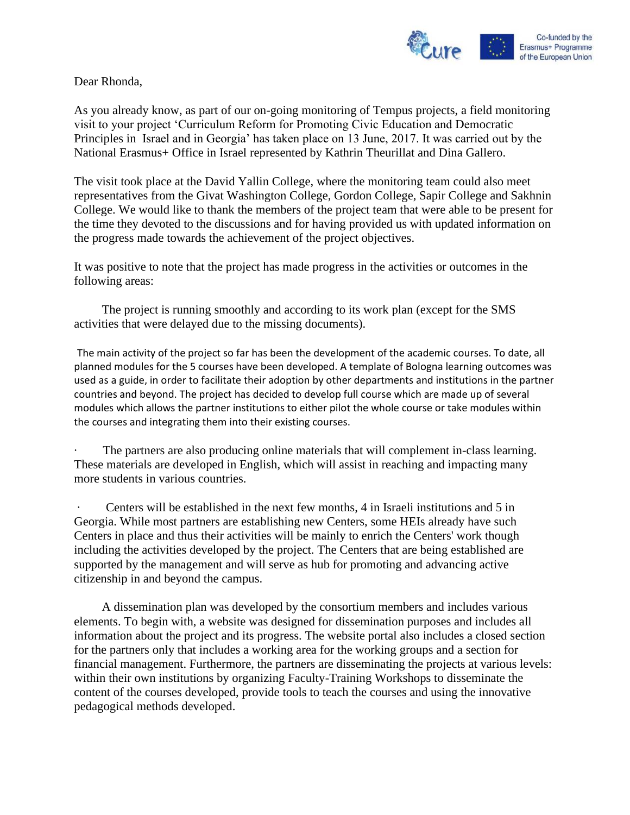

Dear Rhonda,

As you already know, as part of our on-going monitoring of Tempus projects, a field monitoring visit to your project 'Curriculum Reform for Promoting Civic Education and Democratic Principles in Israel and in Georgia' has taken place on 13 June, 2017. It was carried out by the National Erasmus+ Office in Israel represented by Kathrin Theurillat and Dina Gallero.

The visit took place at the David Yallin College, where the monitoring team could also meet representatives from the Givat Washington College, Gordon College, Sapir College and Sakhnin College. We would like to thank the members of the project team that were able to be present for the time they devoted to the discussions and for having provided us with updated information on the progress made towards the achievement of the project objectives.

It was positive to note that the project has made progress in the activities or outcomes in the following areas:

 The project is running smoothly and according to its work plan (except for the SMS activities that were delayed due to the missing documents).

The main activity of the project so far has been the development of the academic courses. To date, all planned modules for the 5 courses have been developed. A template of Bologna learning outcomes was used as a guide, in order to facilitate their adoption by other departments and institutions in the partner countries and beyond. The project has decided to develop full course which are made up of several modules which allows the partner institutions to either pilot the whole course or take modules within the courses and integrating them into their existing courses.

The partners are also producing online materials that will complement in-class learning. These materials are developed in English, which will assist in reaching and impacting many more students in various countries.

Centers will be established in the next few months, 4 in Israeli institutions and 5 in Georgia. While most partners are establishing new Centers, some HEIs already have such Centers in place and thus their activities will be mainly to enrich the Centers' work though including the activities developed by the project. The Centers that are being established are supported by the management and will serve as hub for promoting and advancing active citizenship in and beyond the campus.

 A dissemination plan was developed by the consortium members and includes various elements. To begin with, a website was designed for dissemination purposes and includes all information about the project and its progress. The website portal also includes a closed section for the partners only that includes a working area for the working groups and a section for financial management. Furthermore, the partners are disseminating the projects at various levels: within their own institutions by organizing Faculty-Training Workshops to disseminate the content of the courses developed, provide tools to teach the courses and using the innovative pedagogical methods developed.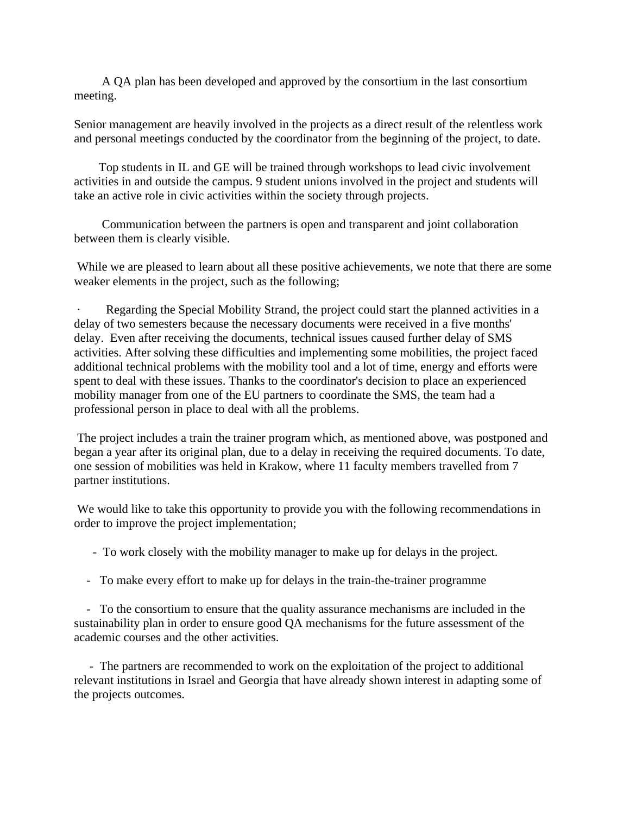A QA plan has been developed and approved by the consortium in the last consortium meeting.

Senior management are heavily involved in the projects as a direct result of the relentless work and personal meetings conducted by the coordinator from the beginning of the project, to date.

 Top students in IL and GE will be trained through workshops to lead civic involvement activities in and outside the campus. 9 student unions involved in the project and students will take an active role in civic activities within the society through projects.

 Communication between the partners is open and transparent and joint collaboration between them is clearly visible.

While we are pleased to learn about all these positive achievements, we note that there are some weaker elements in the project, such as the following;

Regarding the Special Mobility Strand, the project could start the planned activities in a delay of two semesters because the necessary documents were received in a five months' delay. Even after receiving the documents, technical issues caused further delay of SMS activities. After solving these difficulties and implementing some mobilities, the project faced additional technical problems with the mobility tool and a lot of time, energy and efforts were spent to deal with these issues. Thanks to the coordinator's decision to place an experienced mobility manager from one of the EU partners to coordinate the SMS, the team had a professional person in place to deal with all the problems.

The project includes a train the trainer program which, as mentioned above, was postponed and began a year after its original plan, due to a delay in receiving the required documents. To date, one session of mobilities was held in Krakow, where 11 faculty members travelled from 7 partner institutions.

We would like to take this opportunity to provide you with the following recommendations in order to improve the project implementation;

- To work closely with the mobility manager to make up for delays in the project.

- To make every effort to make up for delays in the train-the-trainer programme

 - To the consortium to ensure that the quality assurance mechanisms are included in the sustainability plan in order to ensure good QA mechanisms for the future assessment of the academic courses and the other activities.

 - The partners are recommended to work on the exploitation of the project to additional relevant institutions in Israel and Georgia that have already shown interest in adapting some of the projects outcomes.